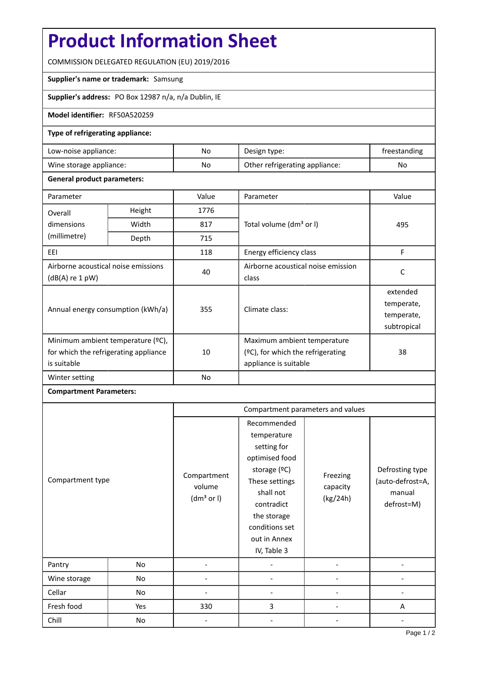# **Product Information Sheet**

COMMISSION DELEGATED REGULATION (EU) 2019/2016

## **Supplier's name or trademark:** Samsung

**Supplier's address:** PO Box 12987 n/a, n/a Dublin, IE

#### **Model identifier:** RF50A5202S9

## **Type of refrigerating appliance:**

| Low-noise appliance:    | No. | Design type:                   | freestanding |
|-------------------------|-----|--------------------------------|--------------|
| Wine storage appliance: | No  | Other refrigerating appliance: | No           |

#### **General product parameters:**

| Parameter                                                                                 |        | Value | Parameter                                                                                    | Value                                               |  |
|-------------------------------------------------------------------------------------------|--------|-------|----------------------------------------------------------------------------------------------|-----------------------------------------------------|--|
| Overall                                                                                   | Height | 1776  |                                                                                              | 495                                                 |  |
| dimensions                                                                                | Width  | 817   | Total volume (dm <sup>3</sup> or I)                                                          |                                                     |  |
| (millimetre)                                                                              | Depth  | 715   |                                                                                              |                                                     |  |
| EEI                                                                                       |        | 118   | Energy efficiency class                                                                      | F                                                   |  |
| Airborne acoustical noise emissions<br>$(dB(A)$ re 1 pW)                                  |        | 40    | Airborne acoustical noise emission<br>class                                                  | C                                                   |  |
| Annual energy consumption (kWh/a)                                                         |        | 355   | Climate class:                                                                               | extended<br>temperate,<br>temperate,<br>subtropical |  |
| Minimum ambient temperature (°C),<br>for which the refrigerating appliance<br>is suitable |        | 10    | Maximum ambient temperature<br>$(2C)$ , for which the refrigerating<br>appliance is suitable | 38                                                  |  |
| Winter setting                                                                            |        | No    |                                                                                              |                                                     |  |

## **Compartment Parameters:**

|                  |     | Compartment parameters and values               |                                                                                                                                                                                          |                                  |                                                             |
|------------------|-----|-------------------------------------------------|------------------------------------------------------------------------------------------------------------------------------------------------------------------------------------------|----------------------------------|-------------------------------------------------------------|
| Compartment type |     | Compartment<br>volume<br>(dm <sup>3</sup> or I) | Recommended<br>temperature<br>setting for<br>optimised food<br>storage (°C)<br>These settings<br>shall not<br>contradict<br>the storage<br>conditions set<br>out in Annex<br>IV, Table 3 | Freezing<br>capacity<br>(kg/24h) | Defrosting type<br>(auto-defrost=A,<br>manual<br>defrost=M) |
| Pantry           | No  |                                                 |                                                                                                                                                                                          |                                  |                                                             |
| Wine storage     | No  |                                                 |                                                                                                                                                                                          |                                  |                                                             |
| Cellar           | No  |                                                 |                                                                                                                                                                                          |                                  |                                                             |
| Fresh food       | Yes | 330                                             | 3                                                                                                                                                                                        |                                  | A                                                           |
| Chill            | No  |                                                 |                                                                                                                                                                                          |                                  |                                                             |